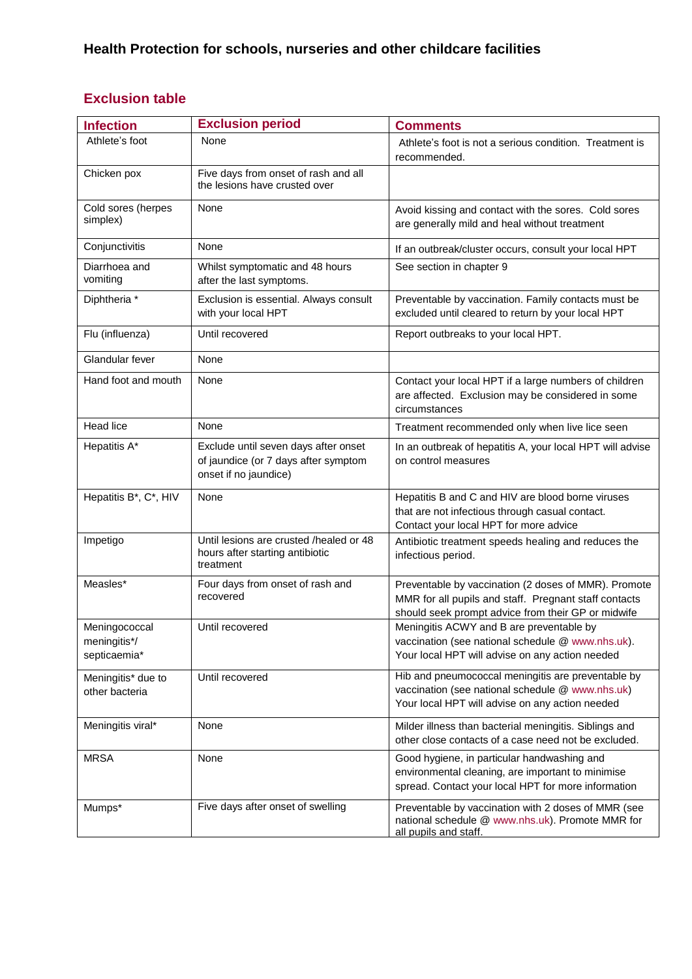## **Exclusion table**

| <b>Infection</b>                              | <b>Exclusion period</b>                                                                               | <b>Comments</b>                                                                                                                                                     |
|-----------------------------------------------|-------------------------------------------------------------------------------------------------------|---------------------------------------------------------------------------------------------------------------------------------------------------------------------|
| Athlete's foot                                | None                                                                                                  | Athlete's foot is not a serious condition. Treatment is<br>recommended.                                                                                             |
| Chicken pox                                   | Five days from onset of rash and all<br>the lesions have crusted over                                 |                                                                                                                                                                     |
| Cold sores (herpes<br>simplex)                | None                                                                                                  | Avoid kissing and contact with the sores. Cold sores<br>are generally mild and heal without treatment                                                               |
| Conjunctivitis                                | None                                                                                                  | If an outbreak/cluster occurs, consult your local HPT                                                                                                               |
| Diarrhoea and<br>vomiting                     | Whilst symptomatic and 48 hours<br>after the last symptoms.                                           | See section in chapter 9                                                                                                                                            |
| Diphtheria *                                  | Exclusion is essential. Always consult<br>with your local HPT                                         | Preventable by vaccination. Family contacts must be<br>excluded until cleared to return by your local HPT                                                           |
| Flu (influenza)                               | Until recovered                                                                                       | Report outbreaks to your local HPT.                                                                                                                                 |
| Glandular fever                               | None                                                                                                  |                                                                                                                                                                     |
| Hand foot and mouth                           | None                                                                                                  | Contact your local HPT if a large numbers of children<br>are affected. Exclusion may be considered in some<br>circumstances                                         |
| Head lice                                     | None                                                                                                  | Treatment recommended only when live lice seen                                                                                                                      |
| Hepatitis A*                                  | Exclude until seven days after onset<br>of jaundice (or 7 days after symptom<br>onset if no jaundice) | In an outbreak of hepatitis A, your local HPT will advise<br>on control measures                                                                                    |
| Hepatitis B*, C*, HIV                         | None                                                                                                  | Hepatitis B and C and HIV are blood borne viruses<br>that are not infectious through casual contact.<br>Contact your local HPT for more advice                      |
| Impetigo                                      | Until lesions are crusted /healed or 48<br>hours after starting antibiotic<br>treatment               | Antibiotic treatment speeds healing and reduces the<br>infectious period.                                                                                           |
| Measles*                                      | Four days from onset of rash and<br>recovered                                                         | Preventable by vaccination (2 doses of MMR). Promote<br>MMR for all pupils and staff. Pregnant staff contacts<br>should seek prompt advice from their GP or midwife |
| Meningococcal<br>meningitis*/<br>septicaemia* | Until recovered                                                                                       | Meningitis ACWY and B are preventable by<br>vaccination (see national schedule @ www.nhs.uk).<br>Your local HPT will advise on any action needed                    |
| Meningitis* due to<br>other bacteria          | Until recovered                                                                                       | Hib and pneumococcal meningitis are preventable by<br>vaccination (see national schedule @ www.nhs.uk)<br>Your local HPT will advise on any action needed           |
| Meningitis viral*                             | None                                                                                                  | Milder illness than bacterial meningitis. Siblings and<br>other close contacts of a case need not be excluded.                                                      |
| <b>MRSA</b>                                   | None                                                                                                  | Good hygiene, in particular handwashing and<br>environmental cleaning, are important to minimise<br>spread. Contact your local HPT for more information             |
| Mumps*                                        | Five days after onset of swelling                                                                     | Preventable by vaccination with 2 doses of MMR (see<br>national schedule @ www.nhs.uk). Promote MMR for<br>all pupils and staff.                                    |